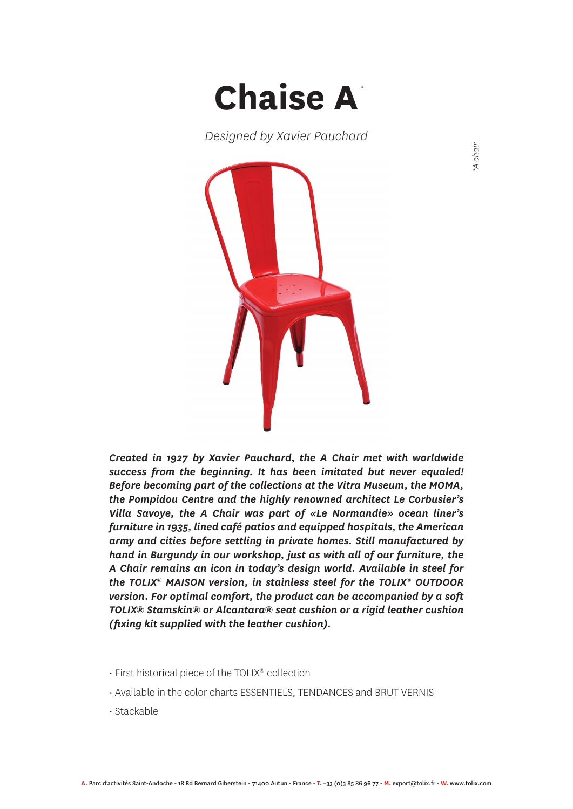

*Designed by Xavier Pauchard*



*Created in 1927 by Xavier Pauchard, the A Chair met with worldwide success from the beginning. It has been imitated but never equaled! Before becoming part of the collections at the Vitra Museum, the MOMA, the Pompidou Centre and the highly renowned architect Le Corbusier's Villa Savoye, the A Chair was part of «Le Normandie» ocean liner's furniture in 1935, lined café patios and equipped hospitals, the American army and cities before settling in private homes. Still manufactured by hand in Burgundy in our workshop, just as with all of our furniture, the A Chair remains an icon in today's design world. Available in steel for the TOLIX® MAISON version, in stainless steel for the TOLIX® OUTDOOR version. For optimal comfort, the product can be accompanied by a soft TOLIX® Stamskin® or Alcantara® seat cushion or a rigid leather cushion (fixing kit supplied with the leather cushion).*

- First historical piece of the TOLIX® collection
- Available in the color charts ESSENTIELS, TENDANCES and BRUT VERNIS
- Stackable

*\*A chair*